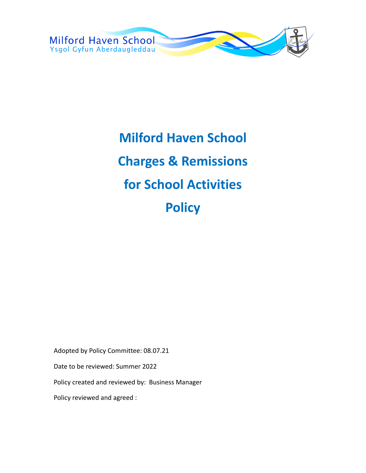

# **Milford Haven School Charges & Remissions for School Activities Policy**

Adopted by Policy Committee: 08.07.21

Date to be reviewed: Summer 2022

Policy created and reviewed by: Business Manager

Policy reviewed and agreed :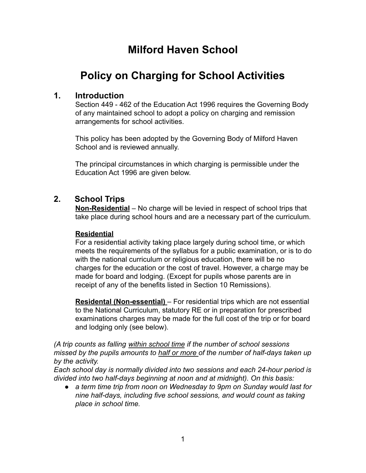# **Milford Haven School**

# **Policy on Charging for School Activities**

# **1. Introduction**

Section 449 - 462 of the Education Act 1996 requires the Governing Body of any maintained school to adopt a policy on charging and remission arrangements for school activities.

This policy has been adopted by the Governing Body of Milford Haven School and is reviewed annually.

The principal circumstances in which charging is permissible under the Education Act 1996 are given below.

# **2. School Trips**

**Non-Residential** – No charge will be levied in respect of school trips that take place during school hours and are a necessary part of the curriculum.

#### **Residential**

For a residential activity taking place largely during school time, or which meets the requirements of the syllabus for a public examination, or is to do with the national curriculum or religious education, there will be no charges for the education or the cost of travel. However, a charge may be made for board and lodging. (Except for pupils whose parents are in receipt of any of the benefits listed in Section 10 Remissions).

**Residental (Non-essential)** – For residential trips which are not essential to the National Curriculum, statutory RE or in preparation for prescribed examinations charges may be made for the full cost of the trip or for board and lodging only (see below).

*(A trip counts as falling within school time if the number of school sessions missed by the pupils amounts to half or more of the number of half-days taken up by the activity.*

*Each school day is normally divided into two sessions and each 24-hour period is divided into two half-days beginning at noon and at midnight). On this basis:*

● *a term time trip from noon on Wednesday to 9pm on Sunday would last for nine half-days, including five school sessions, and would count as taking place in school time.*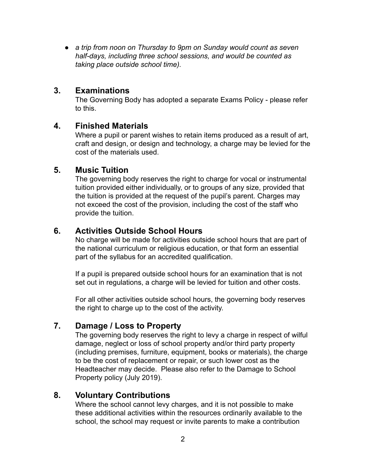● *a trip from noon on Thursday to 9pm on Sunday would count as seven half-days, including three school sessions, and would be counted as taking place outside school time).*

#### **3. Examinations**

The Governing Body has adopted a separate Exams Policy - please refer to this.

# **4. Finished Materials**

Where a pupil or parent wishes to retain items produced as a result of art, craft and design, or design and technology, a charge may be levied for the cost of the materials used.

#### **5. Music Tuition**

The governing body reserves the right to charge for vocal or instrumental tuition provided either individually, or to groups of any size, provided that the tuition is provided at the request of the pupil's parent. Charges may not exceed the cost of the provision, including the cost of the staff who provide the tuition.

# **6. Activities Outside School Hours**

No charge will be made for activities outside school hours that are part of the national curriculum or religious education, or that form an essential part of the syllabus for an accredited qualification.

If a pupil is prepared outside school hours for an examination that is not set out in regulations, a charge will be levied for tuition and other costs.

For all other activities outside school hours, the governing body reserves the right to charge up to the cost of the activity.

# **7. Damage / Loss to Property**

The governing body reserves the right to levy a charge in respect of wilful damage, neglect or loss of school property and/or third party property (including premises, furniture, equipment, books or materials), the charge to be the cost of replacement or repair, or such lower cost as the Headteacher may decide. Please also refer to the Damage to School Property policy (July 2019).

# **8. Voluntary Contributions**

Where the school cannot levy charges, and it is not possible to make these additional activities within the resources ordinarily available to the school, the school may request or invite parents to make a contribution